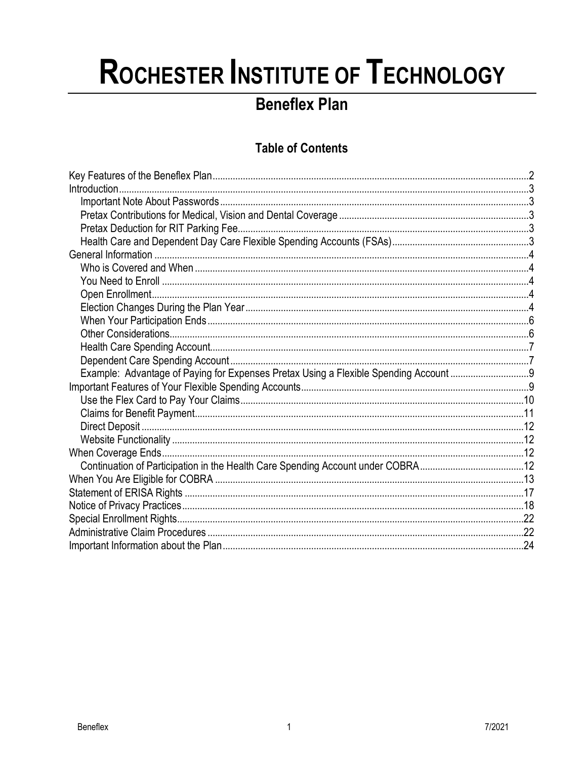# ROCHESTER INSTITUTE OF TECHNOLOGY

## **Beneflex Plan**

## **Table of Contents**

| Example: Advantage of Paying for Expenses Pretax Using a Flexible Spending Account |  |
|------------------------------------------------------------------------------------|--|
|                                                                                    |  |
|                                                                                    |  |
|                                                                                    |  |
|                                                                                    |  |
|                                                                                    |  |
|                                                                                    |  |
| Continuation of Participation in the Health Care Spending Account under COBRA12    |  |
|                                                                                    |  |
|                                                                                    |  |
|                                                                                    |  |
|                                                                                    |  |
|                                                                                    |  |
|                                                                                    |  |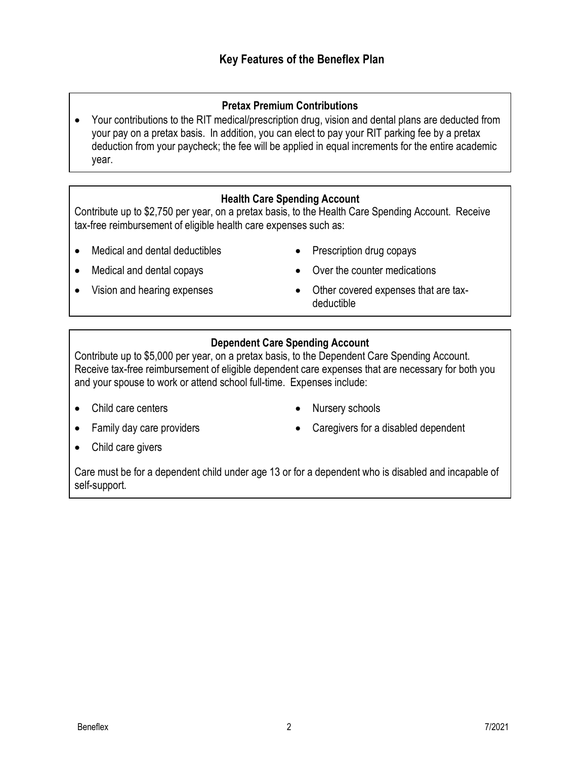## **Pretax Premium Contributions**

<span id="page-1-0"></span>• Your contributions to the RIT medical/prescription drug, vision and dental plans are deducted from your pay on a pretax basis. In addition, you can elect to pay your RIT parking fee by a pretax deduction from your paycheck; the fee will be applied in equal increments for the entire academic year.

## **Health Care Spending Account**

Contribute up to \$2,750 per year, on a pretax basis, to the Health Care Spending Account. Receive tax-free reimbursement of eligible health care expenses such as:

- Medical and dental deductibles
- Prescription drug copays

- Medical and dental copays
- Vision and hearing expenses
- Over the counter medications
- Other covered expenses that are taxdeductible

## **Dependent Care Spending Account**

Contribute up to \$5,000 per year, on a pretax basis, to the Dependent Care Spending Account. Receive tax-free reimbursement of eligible dependent care expenses that are necessary for both you and your spouse to work or attend school full-time. Expenses include:

• Child care centers

Nursery schools

• Family day care providers

Caregivers for a disabled dependent

• Child care givers

Care must be for a dependent child under age 13 or for a dependent who is disabled and incapable of self-support.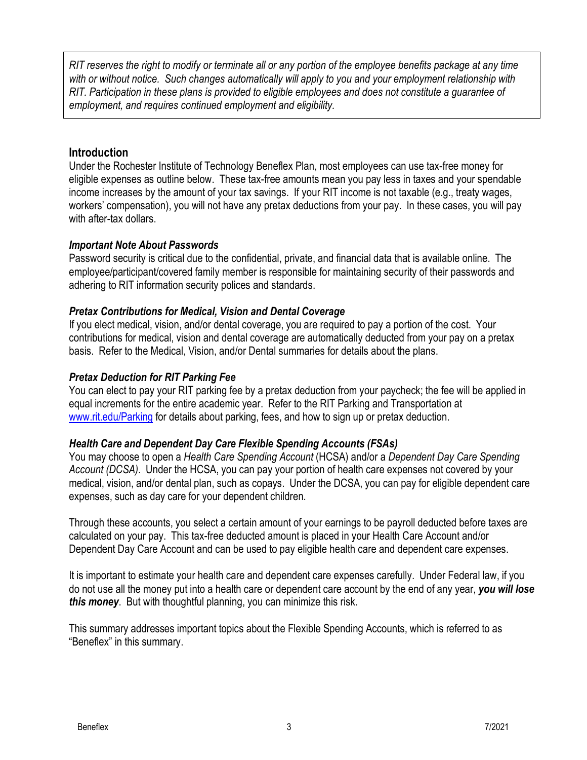*RIT reserves the right to modify or terminate all or any portion of the employee benefits package at any time with or without notice. Such changes automatically will apply to you and your employment relationship with RIT. Participation in these plans is provided to eligible employees and does not constitute a guarantee of employment, and requires continued employment and eligibility.*

## <span id="page-2-0"></span>**Introduction**

Under the Rochester Institute of Technology Beneflex Plan, most employees can use tax-free money for eligible expenses as outline below. These tax-free amounts mean you pay less in taxes and your spendable income increases by the amount of your tax savings. If your RIT income is not taxable (e.g., treaty wages, workers' compensation), you will not have any pretax deductions from your pay. In these cases, you will pay with after-tax dollars.

## <span id="page-2-1"></span>*Important Note About Passwords*

Password security is critical due to the confidential, private, and financial data that is available online. The employee/participant/covered family member is responsible for maintaining security of their passwords and adhering to RIT information security polices and standards.

## <span id="page-2-2"></span>*Pretax Contributions for Medical, Vision and Dental Coverage*

If you elect medical, vision, and/or dental coverage, you are required to pay a portion of the cost. Your contributions for medical, vision and dental coverage are automatically deducted from your pay on a pretax basis. Refer to the Medical, Vision, and/or Dental summaries for details about the plans.

## <span id="page-2-3"></span>*Pretax Deduction for RIT Parking Fee*

You can elect to pay your RIT parking fee by a pretax deduction from your paycheck; the fee will be applied in equal increments for the entire academic year. Refer to the RIT Parking and Transportation at [www.rit.edu/Parking](http://www.rit.edu/Parking) for details about parking, fees, and how to sign up or pretax deduction.

## <span id="page-2-4"></span>*Health Care and Dependent Day Care Flexible Spending Accounts (FSAs)*

You may choose to open a *Health Care Spending Account* (HCSA) and/or a *Dependent Day Care Spending Account (DCSA)*. Under the HCSA, you can pay your portion of health care expenses not covered by your medical, vision, and/or dental plan, such as copays. Under the DCSA, you can pay for eligible dependent care expenses, such as day care for your dependent children.

Through these accounts, you select a certain amount of your earnings to be payroll deducted before taxes are calculated on your pay. This tax-free deducted amount is placed in your Health Care Account and/or Dependent Day Care Account and can be used to pay eligible health care and dependent care expenses.

It is important to estimate your health care and dependent care expenses carefully. Under Federal law, if you do not use all the money put into a health care or dependent care account by the end of any year, *you will lose this money*. But with thoughtful planning, you can minimize this risk.

This summary addresses important topics about the Flexible Spending Accounts, which is referred to as "Beneflex" in this summary.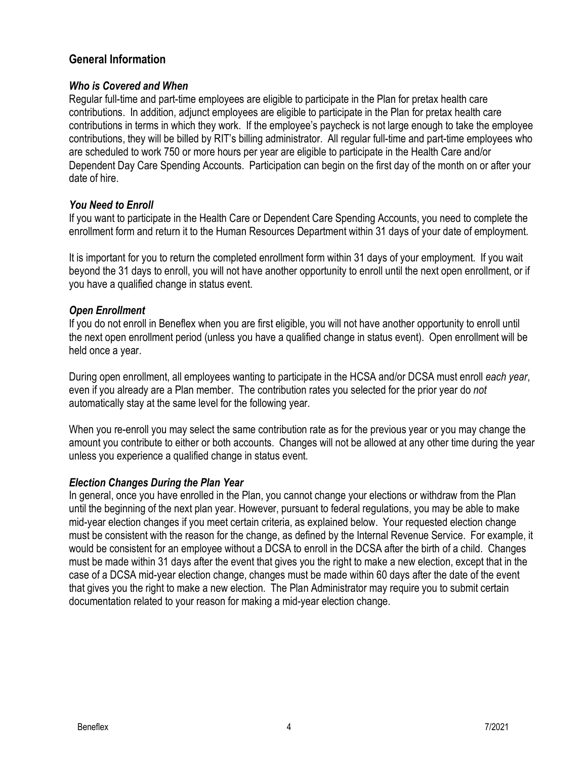## <span id="page-3-0"></span>**General Information**

## <span id="page-3-1"></span>*Who is Covered and When*

Regular full-time and part-time employees are eligible to participate in the Plan for pretax health care contributions. In addition, adjunct employees are eligible to participate in the Plan for pretax health care contributions in terms in which they work. If the employee's paycheck is not large enough to take the employee contributions, they will be billed by RIT's billing administrator. All regular full-time and part-time employees who are scheduled to work 750 or more hours per year are eligible to participate in the Health Care and/or Dependent Day Care Spending Accounts. Participation can begin on the first day of the month on or after your date of hire.

## <span id="page-3-2"></span>*You Need to Enroll*

If you want to participate in the Health Care or Dependent Care Spending Accounts, you need to complete the enrollment form and return it to the Human Resources Department within 31 days of your date of employment.

It is important for you to return the completed enrollment form within 31 days of your employment. If you wait beyond the 31 days to enroll, you will not have another opportunity to enroll until the next open enrollment, or if you have a qualified change in status event.

## <span id="page-3-3"></span>*Open Enrollment*

If you do not enroll in Beneflex when you are first eligible, you will not have another opportunity to enroll until the next open enrollment period (unless you have a qualified change in status event). Open enrollment will be held once a year.

During open enrollment, all employees wanting to participate in the HCSA and/or DCSA must enroll *each year*, even if you already are a Plan member. The contribution rates you selected for the prior year do *not*  automatically stay at the same level for the following year.

When you re-enroll you may select the same contribution rate as for the previous year or you may change the amount you contribute to either or both accounts. Changes will not be allowed at any other time during the year unless you experience a qualified change in status event.

## <span id="page-3-4"></span>*Election Changes During the Plan Year*

In general, once you have enrolled in the Plan, you cannot change your elections or withdraw from the Plan until the beginning of the next plan year. However, pursuant to federal regulations, you may be able to make mid-year election changes if you meet certain criteria, as explained below. Your requested election change must be consistent with the reason for the change, as defined by the Internal Revenue Service. For example, it would be consistent for an employee without a DCSA to enroll in the DCSA after the birth of a child. Changes must be made within 31 days after the event that gives you the right to make a new election, except that in the case of a DCSA mid-year election change, changes must be made within 60 days after the date of the event that gives you the right to make a new election. The Plan Administrator may require you to submit certain documentation related to your reason for making a mid-year election change.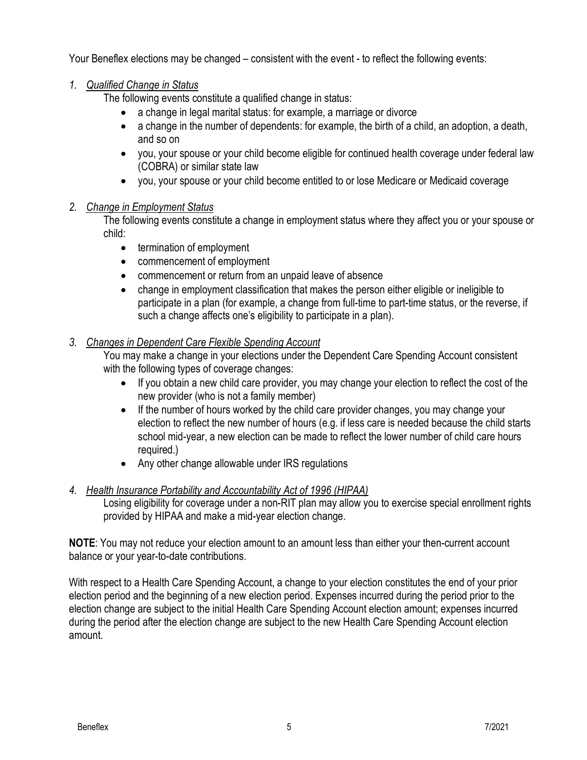Your Beneflex elections may be changed – consistent with the event - to reflect the following events:

## *1. Qualified Change in Status*

The following events constitute a qualified change in status:

- a change in legal marital status: for example, a marriage or divorce
- a change in the number of dependents: for example, the birth of a child, an adoption, a death, and so on
- you, your spouse or your child become eligible for continued health coverage under federal law (COBRA) or similar state law
- you, your spouse or your child become entitled to or lose Medicare or Medicaid coverage

## *2. Change in Employment Status*

The following events constitute a change in employment status where they affect you or your spouse or child:

- termination of employment
- commencement of employment
- commencement or return from an unpaid leave of absence
- change in employment classification that makes the person either eligible or ineligible to participate in a plan (for example, a change from full-time to part-time status, or the reverse, if such a change affects one's eligibility to participate in a plan).

## *3. Changes in Dependent Care Flexible Spending Account*

You may make a change in your elections under the Dependent Care Spending Account consistent with the following types of coverage changes:

- If you obtain a new child care provider, you may change your election to reflect the cost of the new provider (who is not a family member)
- If the number of hours worked by the child care provider changes, you may change your election to reflect the new number of hours (e.g. if less care is needed because the child starts school mid-year, a new election can be made to reflect the lower number of child care hours required.)
- Any other change allowable under IRS regulations

## *4. Health Insurance Portability and Accountability Act of 1996 (HIPAA)*

Losing eligibility for coverage under a non-RIT plan may allow you to exercise special enrollment rights provided by HIPAA and make a mid-year election change.

**NOTE**: You may not reduce your election amount to an amount less than either your then-current account balance or your year-to-date contributions.

With respect to a Health Care Spending Account, a change to your election constitutes the end of your prior election period and the beginning of a new election period. Expenses incurred during the period prior to the election change are subject to the initial Health Care Spending Account election amount; expenses incurred during the period after the election change are subject to the new Health Care Spending Account election amount.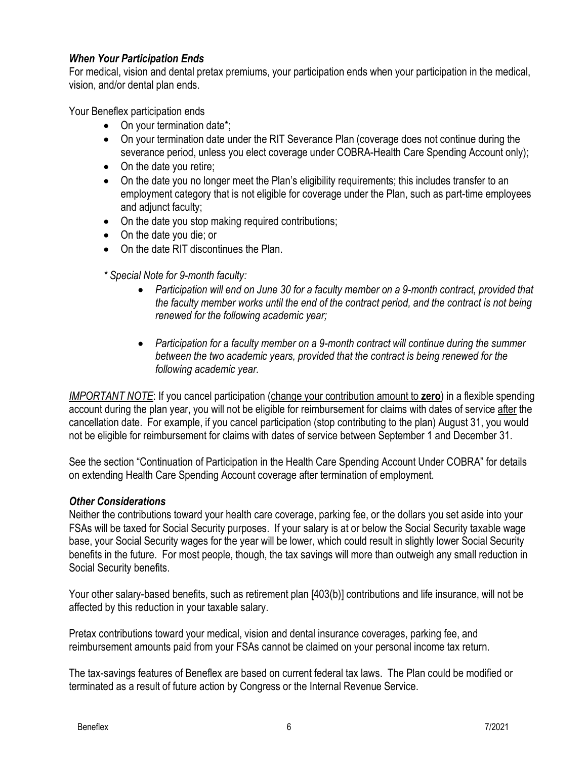## <span id="page-5-0"></span>*When Your Participation Ends*

For medical, vision and dental pretax premiums, your participation ends when your participation in the medical, vision, and/or dental plan ends.

Your Beneflex participation ends

- On your termination date\*;
- On your termination date under the RIT Severance Plan (coverage does not continue during the severance period, unless you elect coverage under COBRA-Health Care Spending Account only);
- On the date you retire;
- On the date you no longer meet the Plan's eligibility requirements; this includes transfer to an employment category that is not eligible for coverage under the Plan, such as part-time employees and adjunct faculty;
- On the date you stop making required contributions;
- On the date you die: or
- On the date RIT discontinues the Plan.
- *\* Special Note for 9-month faculty:*
	- *Participation will end on June 30 for a faculty member on a 9-month contract, provided that the faculty member works until the end of the contract period, and the contract is not being renewed for the following academic year;*
	- *Participation for a faculty member on a 9-month contract will continue during the summer between the two academic years, provided that the contract is being renewed for the following academic year.*

*IMPORTANT NOTE*: If you cancel participation (change your contribution amount to **zero**) in a flexible spending account during the plan year, you will not be eligible for reimbursement for claims with dates of service after the cancellation date. For example, if you cancel participation (stop contributing to the plan) August 31, you would not be eligible for reimbursement for claims with dates of service between September 1 and December 31.

See the section "Continuation of Participation in the Health Care Spending Account Under COBRA" for details on extending Health Care Spending Account coverage after termination of employment.

#### <span id="page-5-1"></span>*Other Considerations*

Neither the contributions toward your health care coverage, parking fee, or the dollars you set aside into your FSAs will be taxed for Social Security purposes. If your salary is at or below the Social Security taxable wage base, your Social Security wages for the year will be lower, which could result in slightly lower Social Security benefits in the future. For most people, though, the tax savings will more than outweigh any small reduction in Social Security benefits.

Your other salary-based benefits, such as retirement plan [403(b)] contributions and life insurance, will not be affected by this reduction in your taxable salary.

Pretax contributions toward your medical, vision and dental insurance coverages, parking fee, and reimbursement amounts paid from your FSAs cannot be claimed on your personal income tax return.

The tax-savings features of Beneflex are based on current federal tax laws. The Plan could be modified or terminated as a result of future action by Congress or the Internal Revenue Service.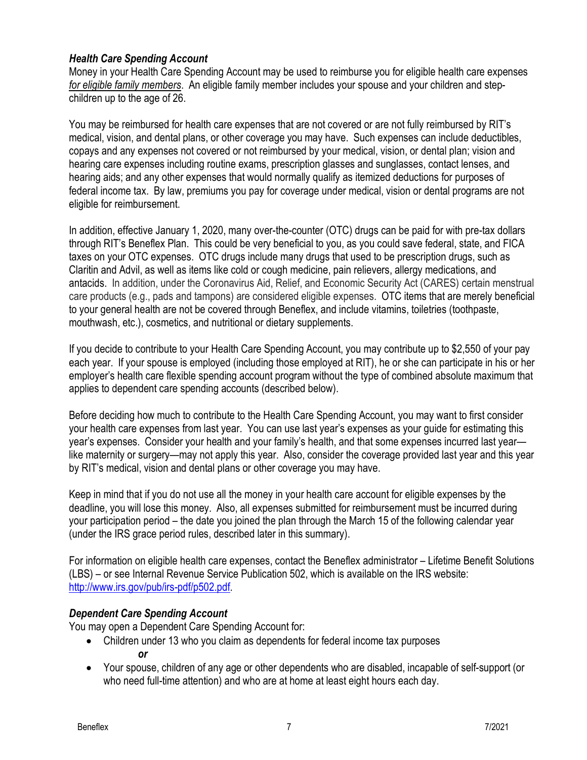## <span id="page-6-0"></span>*Health Care Spending Account*

Money in your Health Care Spending Account may be used to reimburse you for eligible health care expenses *for eligible family members*. An eligible family member includes your spouse and your children and stepchildren up to the age of 26.

You may be reimbursed for health care expenses that are not covered or are not fully reimbursed by RIT's medical, vision, and dental plans, or other coverage you may have. Such expenses can include deductibles, copays and any expenses not covered or not reimbursed by your medical, vision, or dental plan; vision and hearing care expenses including routine exams, prescription glasses and sunglasses, contact lenses, and hearing aids; and any other expenses that would normally qualify as itemized deductions for purposes of federal income tax. By law, premiums you pay for coverage under medical, vision or dental programs are not eligible for reimbursement.

In addition, effective January 1, 2020, many over-the-counter (OTC) drugs can be paid for with pre-tax dollars through RIT's Beneflex Plan. This could be very beneficial to you, as you could save federal, state, and FICA taxes on your OTC expenses. OTC drugs include many drugs that used to be prescription drugs, such as Claritin and Advil, as well as items like cold or cough medicine, pain relievers, allergy medications, and antacids. In addition, under the Coronavirus Aid, Relief, and Economic Security Act (CARES) certain menstrual care products (e.g., pads and tampons) are considered eligible expenses. OTC items that are merely beneficial to your general health are not be covered through Beneflex, and include vitamins, toiletries (toothpaste, mouthwash, etc.), cosmetics, and nutritional or dietary supplements.

If you decide to contribute to your Health Care Spending Account, you may contribute up to \$2,550 of your pay each year. If your spouse is employed (including those employed at RIT), he or she can participate in his or her employer's health care flexible spending account program without the type of combined absolute maximum that applies to dependent care spending accounts (described below).

Before deciding how much to contribute to the Health Care Spending Account, you may want to first consider your health care expenses from last year. You can use last year's expenses as your guide for estimating this year's expenses. Consider your health and your family's health, and that some expenses incurred last year like maternity or surgery—may not apply this year. Also, consider the coverage provided last year and this year by RIT's medical, vision and dental plans or other coverage you may have.

Keep in mind that if you do not use all the money in your health care account for eligible expenses by the deadline, you will lose this money. Also, all expenses submitted for reimbursement must be incurred during your participation period – the date you joined the plan through the March 15 of the following calendar year (under the IRS grace period rules, described later in this summary).

For information on eligible health care expenses, contact the Beneflex administrator – Lifetime Benefit Solutions (LBS) – or see Internal Revenue Service Publication 502, which is available on the IRS website: [http://www.irs.gov/pub/irs-pdf/p502.pdf.](http://www.irs.gov/pub/irs-pdf/p502.pdf)

## <span id="page-6-1"></span>*Dependent Care Spending Account*

You may open a Dependent Care Spending Account for:

- Children under 13 who you claim as dependents for federal income tax purposes *or*
- Your spouse, children of any age or other dependents who are disabled, incapable of self-support (or who need full-time attention) and who are at home at least eight hours each day.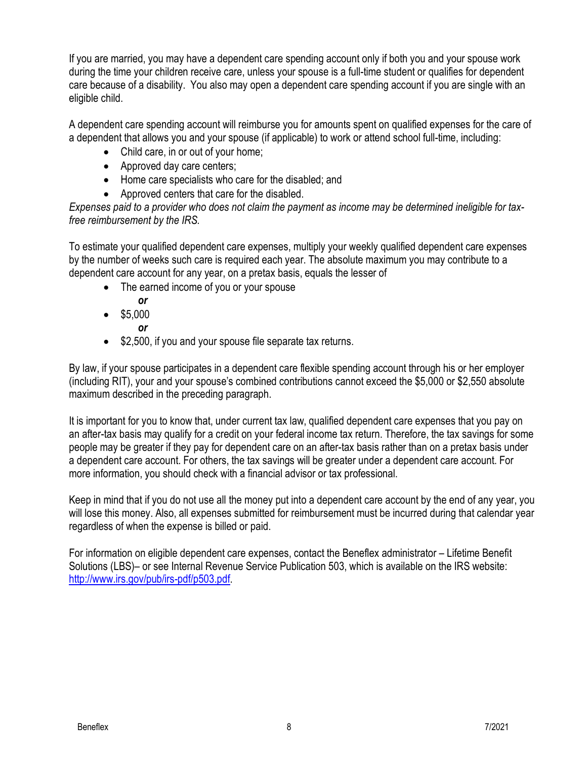If you are married, you may have a dependent care spending account only if both you and your spouse work during the time your children receive care, unless your spouse is a full-time student or qualifies for dependent care because of a disability. You also may open a dependent care spending account if you are single with an eligible child.

A dependent care spending account will reimburse you for amounts spent on qualified expenses for the care of a dependent that allows you and your spouse (if applicable) to work or attend school full-time, including:

- Child care, in or out of your home;
- Approved day care centers;
- Home care specialists who care for the disabled; and
- Approved centers that care for the disabled.

*Expenses paid to a provider who does not claim the payment as income may be determined ineligible for taxfree reimbursement by the IRS.*

To estimate your qualified dependent care expenses, multiply your weekly qualified dependent care expenses by the number of weeks such care is required each year. The absolute maximum you may contribute to a dependent care account for any year, on a pretax basis, equals the lesser of

- The earned income of you or your spouse
	- *or*
- \$5,000
	- *or*
- \$2,500, if you and your spouse file separate tax returns.

By law, if your spouse participates in a dependent care flexible spending account through his or her employer (including RIT), your and your spouse's combined contributions cannot exceed the \$5,000 or \$2,550 absolute maximum described in the preceding paragraph.

It is important for you to know that, under current tax law, qualified dependent care expenses that you pay on an after-tax basis may qualify for a credit on your federal income tax return. Therefore, the tax savings for some people may be greater if they pay for dependent care on an after-tax basis rather than on a pretax basis under a dependent care account. For others, the tax savings will be greater under a dependent care account. For more information, you should check with a financial advisor or tax professional.

Keep in mind that if you do not use all the money put into a dependent care account by the end of any year, you will lose this money. Also, all expenses submitted for reimbursement must be incurred during that calendar year regardless of when the expense is billed or paid.

For information on eligible dependent care expenses, contact the Beneflex administrator – Lifetime Benefit Solutions (LBS)– or see Internal Revenue Service Publication 503, which is available on the IRS website: [http://www.irs.gov/pub/irs-pdf/p503.pdf.](http://www.irs.gov/pub/irs-pdf/p503.pdf)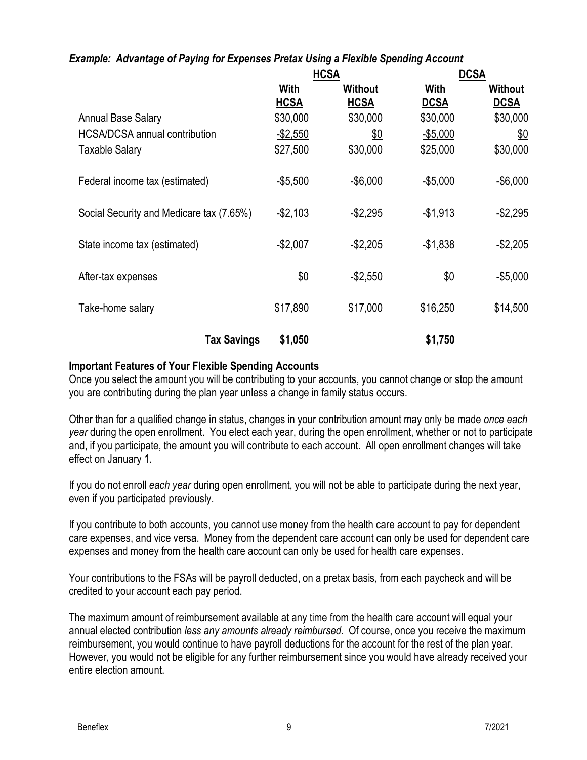|                                          | <b>HCSA</b>                |                               | <b>DCSA</b>         |                               |
|------------------------------------------|----------------------------|-------------------------------|---------------------|-------------------------------|
|                                          | <b>With</b><br><b>HCSA</b> | <b>Without</b><br><b>HCSA</b> | With<br><b>DCSA</b> | <b>Without</b><br><b>DCSA</b> |
| <b>Annual Base Salary</b>                | \$30,000                   | \$30,000                      | \$30,000            | \$30,000                      |
| <b>HCSA/DCSA annual contribution</b>     | $-$2,550$                  | \$0                           | $-$5,000$           | <u>\$0</u>                    |
| <b>Taxable Salary</b>                    | \$27,500                   | \$30,000                      | \$25,000            | \$30,000                      |
| Federal income tax (estimated)           | $-$5,500$                  | $-$6,000$                     | $-$5,000$           | $-$6,000$                     |
| Social Security and Medicare tax (7.65%) | $-$2,103$                  | $-$2,295$                     | $-$1,913$           | $-$2,295$                     |
| State income tax (estimated)             | $-$2,007$                  | $-$2,205$                     | $-$1,838$           | $-$2,205$                     |
| After-tax expenses                       | \$0                        | $-$2,550$                     | \$0                 | $-$5,000$                     |
| Take-home salary                         | \$17,890                   | \$17,000                      | \$16,250            | \$14,500                      |
| <b>Tax Savings</b>                       | \$1,050                    |                               | \$1,750             |                               |

## <span id="page-8-0"></span>*Example: Advantage of Paying for Expenses Pretax Using a Flexible Spending Account*

## <span id="page-8-1"></span>**Important Features of Your Flexible Spending Accounts**

Once you select the amount you will be contributing to your accounts, you cannot change or stop the amount you are contributing during the plan year unless a change in family status occurs.

Other than for a qualified change in status, changes in your contribution amount may only be made *once each year* during the open enrollment. You elect each year, during the open enrollment, whether or not to participate and, if you participate, the amount you will contribute to each account. All open enrollment changes will take effect on January 1.

If you do not enroll *each year* during open enrollment, you will not be able to participate during the next year, even if you participated previously.

If you contribute to both accounts, you cannot use money from the health care account to pay for dependent care expenses, and vice versa. Money from the dependent care account can only be used for dependent care expenses and money from the health care account can only be used for health care expenses.

Your contributions to the FSAs will be payroll deducted, on a pretax basis, from each paycheck and will be credited to your account each pay period.

The maximum amount of reimbursement available at any time from the health care account will equal your annual elected contribution *less any amounts already reimbursed*. Of course, once you receive the maximum reimbursement, you would continue to have payroll deductions for the account for the rest of the plan year. However, you would not be eligible for any further reimbursement since you would have already received your entire election amount.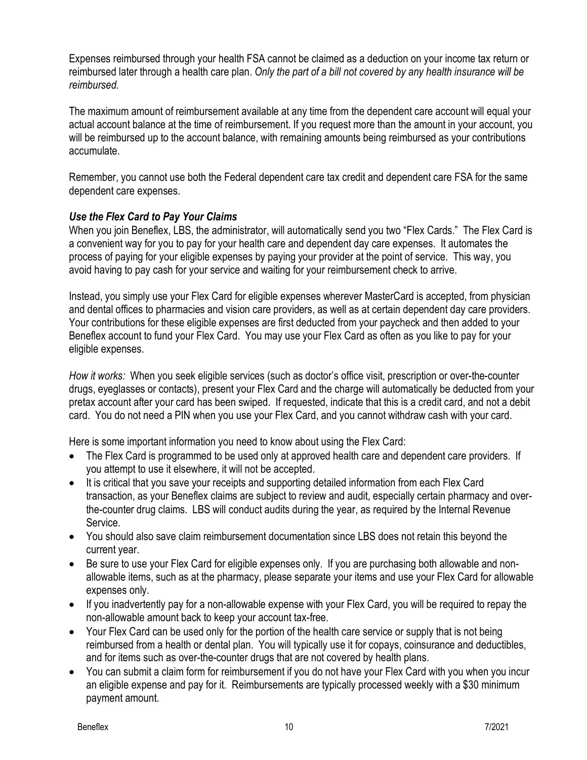Expenses reimbursed through your health FSA cannot be claimed as a deduction on your income tax return or reimbursed later through a health care plan. *Only the part of a bill not covered by any health insurance will be reimbursed.*

The maximum amount of reimbursement available at any time from the dependent care account will equal your actual account balance at the time of reimbursement. If you request more than the amount in your account, you will be reimbursed up to the account balance, with remaining amounts being reimbursed as your contributions accumulate.

Remember, you cannot use both the Federal dependent care tax credit and dependent care FSA for the same dependent care expenses.

## <span id="page-9-0"></span>*Use the Flex Card to Pay Your Claims*

When you join Beneflex, LBS, the administrator, will automatically send you two "Flex Cards." The Flex Card is a convenient way for you to pay for your health care and dependent day care expenses. It automates the process of paying for your eligible expenses by paying your provider at the point of service. This way, you avoid having to pay cash for your service and waiting for your reimbursement check to arrive.

Instead, you simply use your Flex Card for eligible expenses wherever MasterCard is accepted, from physician and dental offices to pharmacies and vision care providers, as well as at certain dependent day care providers. Your contributions for these eligible expenses are first deducted from your paycheck and then added to your Beneflex account to fund your Flex Card. You may use your Flex Card as often as you like to pay for your eligible expenses.

*How it works:* When you seek eligible services (such as doctor's office visit, prescription or over-the-counter drugs, eyeglasses or contacts), present your Flex Card and the charge will automatically be deducted from your pretax account after your card has been swiped. If requested, indicate that this is a credit card, and not a debit card. You do not need a PIN when you use your Flex Card, and you cannot withdraw cash with your card.

Here is some important information you need to know about using the Flex Card:

- The Flex Card is programmed to be used only at approved health care and dependent care providers. If you attempt to use it elsewhere, it will not be accepted.
- It is critical that you save your receipts and supporting detailed information from each Flex Card transaction, as your Beneflex claims are subject to review and audit, especially certain pharmacy and overthe-counter drug claims. LBS will conduct audits during the year, as required by the Internal Revenue Service.
- You should also save claim reimbursement documentation since LBS does not retain this beyond the current year.
- Be sure to use your Flex Card for eligible expenses only. If you are purchasing both allowable and nonallowable items, such as at the pharmacy, please separate your items and use your Flex Card for allowable expenses only.
- If you inadvertently pay for a non-allowable expense with your Flex Card, you will be required to repay the non-allowable amount back to keep your account tax-free.
- Your Flex Card can be used only for the portion of the health care service or supply that is not being reimbursed from a health or dental plan. You will typically use it for copays, coinsurance and deductibles, and for items such as over-the-counter drugs that are not covered by health plans.
- You can submit a claim form for reimbursement if you do not have your Flex Card with you when you incur an eligible expense and pay for it. Reimbursements are typically processed weekly with a \$30 minimum payment amount.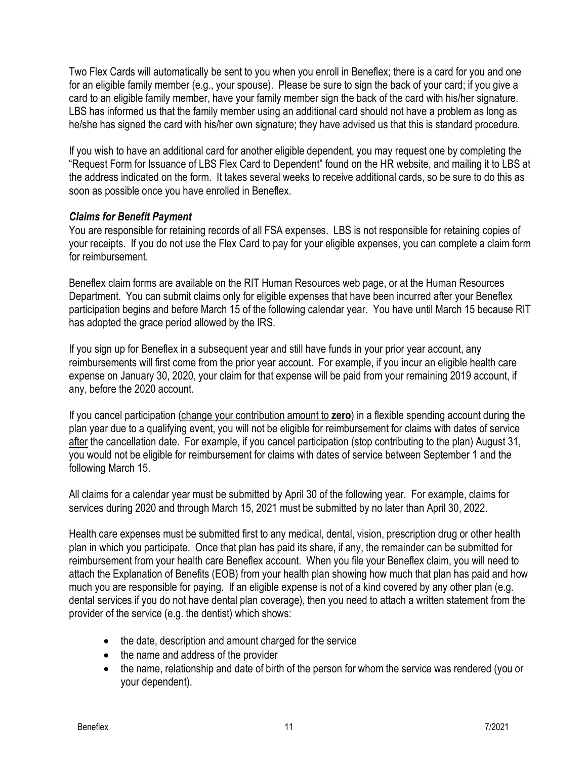Two Flex Cards will automatically be sent to you when you enroll in Beneflex; there is a card for you and one for an eligible family member (e.g., your spouse). Please be sure to sign the back of your card; if you give a card to an eligible family member, have your family member sign the back of the card with his/her signature. LBS has informed us that the family member using an additional card should not have a problem as long as he/she has signed the card with his/her own signature; they have advised us that this is standard procedure.

If you wish to have an additional card for another eligible dependent, you may request one by completing the "Request Form for Issuance of LBS Flex Card to Dependent" found on the HR website, and mailing it to LBS at the address indicated on the form. It takes several weeks to receive additional cards, so be sure to do this as soon as possible once you have enrolled in Beneflex.

## <span id="page-10-0"></span>*Claims for Benefit Payment*

You are responsible for retaining records of all FSA expenses. LBS is not responsible for retaining copies of your receipts. If you do not use the Flex Card to pay for your eligible expenses, you can complete a claim form for reimbursement.

Beneflex claim forms are available on the RIT Human Resources web page, or at the Human Resources Department. You can submit claims only for eligible expenses that have been incurred after your Beneflex participation begins and before March 15 of the following calendar year. You have until March 15 because RIT has adopted the grace period allowed by the IRS.

If you sign up for Beneflex in a subsequent year and still have funds in your prior year account, any reimbursements will first come from the prior year account. For example, if you incur an eligible health care expense on January 30, 2020, your claim for that expense will be paid from your remaining 2019 account, if any, before the 2020 account.

If you cancel participation (change your contribution amount to **zero**) in a flexible spending account during the plan year due to a qualifying event, you will not be eligible for reimbursement for claims with dates of service after the cancellation date. For example, if you cancel participation (stop contributing to the plan) August 31, you would not be eligible for reimbursement for claims with dates of service between September 1 and the following March 15.

All claims for a calendar year must be submitted by April 30 of the following year. For example, claims for services during 2020 and through March 15, 2021 must be submitted by no later than April 30, 2022.

Health care expenses must be submitted first to any medical, dental, vision, prescription drug or other health plan in which you participate. Once that plan has paid its share, if any, the remainder can be submitted for reimbursement from your health care Beneflex account. When you file your Beneflex claim, you will need to attach the Explanation of Benefits (EOB) from your health plan showing how much that plan has paid and how much you are responsible for paying. If an eligible expense is not of a kind covered by any other plan (e.g. dental services if you do not have dental plan coverage), then you need to attach a written statement from the provider of the service (e.g. the dentist) which shows:

- the date, description and amount charged for the service
- the name and address of the provider
- the name, relationship and date of birth of the person for whom the service was rendered (you or your dependent).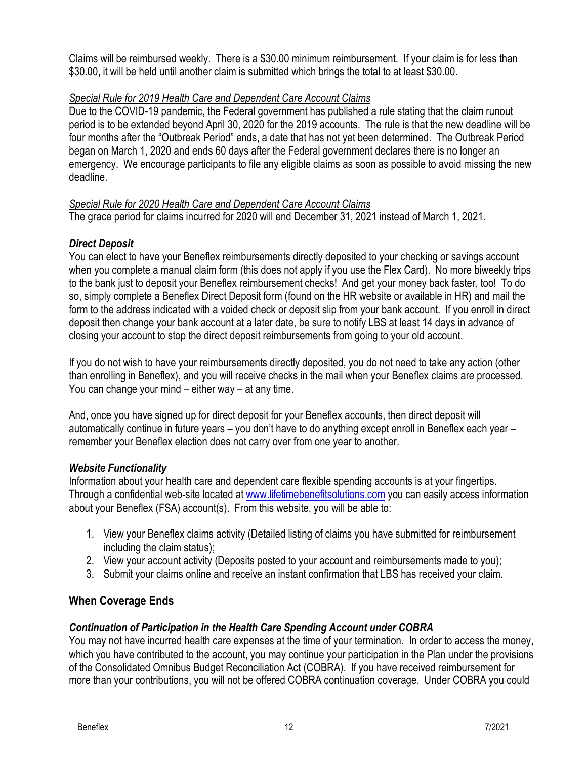Claims will be reimbursed weekly. There is a \$30.00 minimum reimbursement. If your claim is for less than \$30.00, it will be held until another claim is submitted which brings the total to at least \$30.00.

## *Special Rule for 2019 Health Care and Dependent Care Account Claims*

Due to the COVID-19 pandemic, the Federal government has published a rule stating that the claim runout period is to be extended beyond April 30, 2020 for the 2019 accounts. The rule is that the new deadline will be four months after the "Outbreak Period" ends, a date that has not yet been determined. The Outbreak Period began on March 1, 2020 and ends 60 days after the Federal government declares there is no longer an emergency. We encourage participants to file any eligible claims as soon as possible to avoid missing the new deadline.

## *Special Rule for 2020 Health Care and Dependent Care Account Claims*

The grace period for claims incurred for 2020 will end December 31, 2021 instead of March 1, 2021.

## <span id="page-11-0"></span>*Direct Deposit*

You can elect to have your Beneflex reimbursements directly deposited to your checking or savings account when you complete a manual claim form (this does not apply if you use the Flex Card). No more biweekly trips to the bank just to deposit your Beneflex reimbursement checks! And get your money back faster, too! To do so, simply complete a Beneflex Direct Deposit form (found on the HR website or available in HR) and mail the form to the address indicated with a voided check or deposit slip from your bank account. If you enroll in direct deposit then change your bank account at a later date, be sure to notify LBS at least 14 days in advance of closing your account to stop the direct deposit reimbursements from going to your old account.

If you do not wish to have your reimbursements directly deposited, you do not need to take any action (other than enrolling in Beneflex), and you will receive checks in the mail when your Beneflex claims are processed. You can change your mind – either way – at any time.

And, once you have signed up for direct deposit for your Beneflex accounts, then direct deposit will automatically continue in future years – you don't have to do anything except enroll in Beneflex each year – remember your Beneflex election does not carry over from one year to another.

## <span id="page-11-1"></span>*Website Functionality*

Information about your health care and dependent care flexible spending accounts is at your fingertips. Through a confidential web-site located at [www.lifetimebenefitsolutions.com](http://www.lifetimebenefitsolutions.com/) you can easily access information about your Beneflex (FSA) account(s). From this website, you will be able to:

- 1. View your Beneflex claims activity (Detailed listing of claims you have submitted for reimbursement including the claim status);
- 2. View your account activity (Deposits posted to your account and reimbursements made to you);
- 3. Submit your claims online and receive an instant confirmation that LBS has received your claim.

## <span id="page-11-2"></span>**When Coverage Ends**

## <span id="page-11-3"></span>*Continuation of Participation in the Health Care Spending Account under COBRA*

You may not have incurred health care expenses at the time of your termination. In order to access the money, which you have contributed to the account, you may continue your participation in the Plan under the provisions of the Consolidated Omnibus Budget Reconciliation Act (COBRA). If you have received reimbursement for more than your contributions, you will not be offered COBRA continuation coverage. Under COBRA you could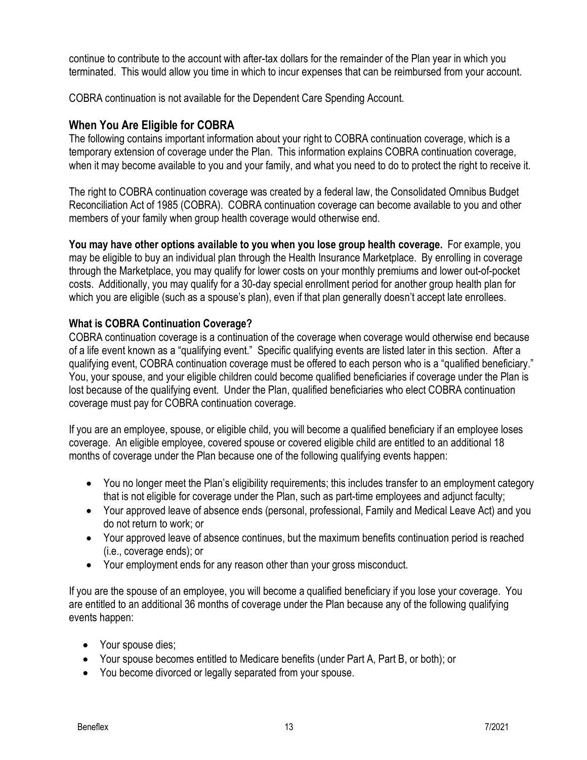continue to contribute to the account with after-tax dollars for the remainder of the Plan year in which you terminated. This would allow you time in which to incur expenses that can be reimbursed from your account.

COBRA continuation is not available for the Dependent Care Spending Account.

## <span id="page-12-0"></span>**When You Are Eligible for COBRA**

The following contains important information about your right to COBRA continuation coverage, which is a temporary extension of coverage under the Plan. This information explains COBRA continuation coverage, when it may become available to you and your family, and what you need to do to protect the right to receive it.

The right to COBRA continuation coverage was created by a federal law, the Consolidated Omnibus Budget Reconciliation Act of 1985 (COBRA). COBRA continuation coverage can become available to you and other members of your family when group health coverage would otherwise end.

**You may have other options available to you when you lose group health coverage.** For example, you may be eligible to buy an individual plan through the Health Insurance Marketplace. By enrolling in coverage through the Marketplace, you may qualify for lower costs on your monthly premiums and lower out-of-pocket costs. Additionally, you may qualify for a 30-day special enrollment period for another group health plan for which you are eligible (such as a spouse's plan), even if that plan generally doesn't accept late enrollees.

## **What is COBRA Continuation Coverage?**

COBRA continuation coverage is a continuation of the coverage when coverage would otherwise end because of a life event known as a "qualifying event." Specific qualifying events are listed later in this section. After a qualifying event, COBRA continuation coverage must be offered to each person who is a "qualified beneficiary." You, your spouse, and your eligible children could become qualified beneficiaries if coverage under the Plan is lost because of the qualifying event. Under the Plan, qualified beneficiaries who elect COBRA continuation coverage must pay for COBRA continuation coverage.

If you are an employee, spouse, or eligible child, you will become a qualified beneficiary if an employee loses coverage. An eligible employee, covered spouse or covered eligible child are entitled to an additional 18 months of coverage under the Plan because one of the following qualifying events happen:

- You no longer meet the Plan's eligibility requirements; this includes transfer to an employment category that is not eligible for coverage under the Plan, such as part-time employees and adjunct faculty;
- Your approved leave of absence ends (personal, professional, Family and Medical Leave Act) and you do not return to work; or
- Your approved leave of absence continues, but the maximum benefits continuation period is reached (i.e., coverage ends); or
- Your employment ends for any reason other than your gross misconduct.

If you are the spouse of an employee, you will become a qualified beneficiary if you lose your coverage. You are entitled to an additional 36 months of coverage under the Plan because any of the following qualifying events happen:

- Your spouse dies:
- Your spouse becomes entitled to Medicare benefits (under Part A, Part B, or both); or
- You become divorced or legally separated from your spouse.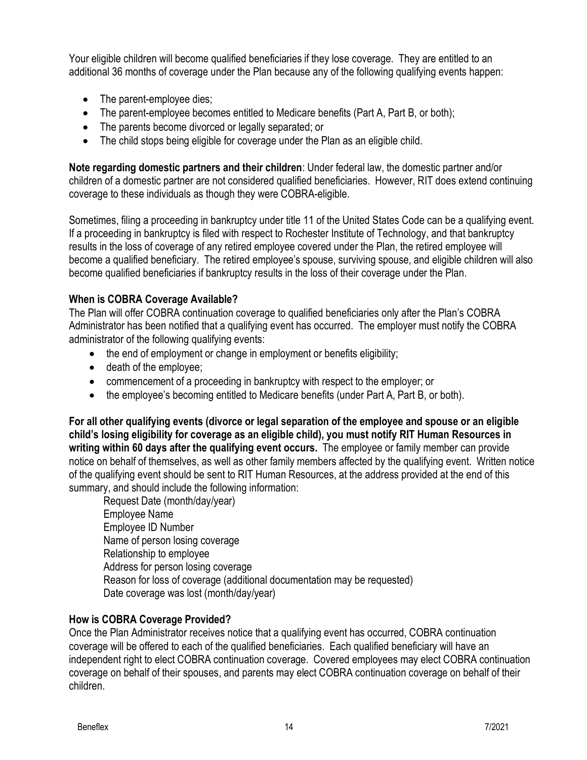Your eligible children will become qualified beneficiaries if they lose coverage. They are entitled to an additional 36 months of coverage under the Plan because any of the following qualifying events happen:

- The parent-employee dies;
- The parent-employee becomes entitled to Medicare benefits (Part A, Part B, or both);
- The parents become divorced or legally separated; or
- The child stops being eligible for coverage under the Plan as an eligible child.

**Note regarding domestic partners and their children**: Under federal law, the domestic partner and/or children of a domestic partner are not considered qualified beneficiaries. However, RIT does extend continuing coverage to these individuals as though they were COBRA-eligible.

Sometimes, filing a proceeding in bankruptcy under title 11 of the United States Code can be a qualifying event. If a proceeding in bankruptcy is filed with respect to Rochester Institute of Technology, and that bankruptcy results in the loss of coverage of any retired employee covered under the Plan, the retired employee will become a qualified beneficiary. The retired employee's spouse, surviving spouse, and eligible children will also become qualified beneficiaries if bankruptcy results in the loss of their coverage under the Plan.

## **When is COBRA Coverage Available?**

The Plan will offer COBRA continuation coverage to qualified beneficiaries only after the Plan's COBRA Administrator has been notified that a qualifying event has occurred. The employer must notify the COBRA administrator of the following qualifying events:

- the end of employment or change in employment or benefits eligibility;
- death of the employee;
- commencement of a proceeding in bankruptcy with respect to the employer; or
- the employee's becoming entitled to Medicare benefits (under Part A, Part B, or both).

**For all other qualifying events (divorce or legal separation of the employee and spouse or an eligible child's losing eligibility for coverage as an eligible child), you must notify RIT Human Resources in writing within 60 days after the qualifying event occurs.** The employee or family member can provide notice on behalf of themselves, as well as other family members affected by the qualifying event. Written notice of the qualifying event should be sent to RIT Human Resources, at the address provided at the end of this summary, and should include the following information:

Request Date (month/day/year) Employee Name Employee ID Number Name of person losing coverage Relationship to employee Address for person losing coverage Reason for loss of coverage (additional documentation may be requested) Date coverage was lost (month/day/year)

## **How is COBRA Coverage Provided?**

Once the Plan Administrator receives notice that a qualifying event has occurred, COBRA continuation coverage will be offered to each of the qualified beneficiaries. Each qualified beneficiary will have an independent right to elect COBRA continuation coverage. Covered employees may elect COBRA continuation coverage on behalf of their spouses, and parents may elect COBRA continuation coverage on behalf of their children.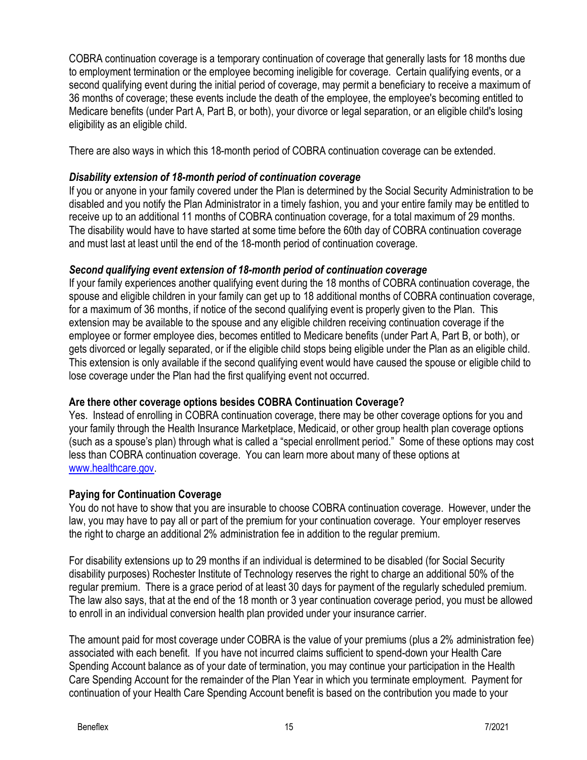COBRA continuation coverage is a temporary continuation of coverage that generally lasts for 18 months due to employment termination or the employee becoming ineligible for coverage. Certain qualifying events, or a second qualifying event during the initial period of coverage, may permit a beneficiary to receive a maximum of 36 months of coverage; these events include the death of the employee, the employee's becoming entitled to Medicare benefits (under Part A, Part B, or both), your divorce or legal separation, or an eligible child's losing eligibility as an eligible child.

There are also ways in which this 18-month period of COBRA continuation coverage can be extended.

## *Disability extension of 18-month period of continuation coverage*

If you or anyone in your family covered under the Plan is determined by the Social Security Administration to be disabled and you notify the Plan Administrator in a timely fashion, you and your entire family may be entitled to receive up to an additional 11 months of COBRA continuation coverage, for a total maximum of 29 months. The disability would have to have started at some time before the 60th day of COBRA continuation coverage and must last at least until the end of the 18-month period of continuation coverage.

## *Second qualifying event extension of 18-month period of continuation coverage*

If your family experiences another qualifying event during the 18 months of COBRA continuation coverage, the spouse and eligible children in your family can get up to 18 additional months of COBRA continuation coverage, for a maximum of 36 months, if notice of the second qualifying event is properly given to the Plan. This extension may be available to the spouse and any eligible children receiving continuation coverage if the employee or former employee dies, becomes entitled to Medicare benefits (under Part A, Part B, or both), or gets divorced or legally separated, or if the eligible child stops being eligible under the Plan as an eligible child. This extension is only available if the second qualifying event would have caused the spouse or eligible child to lose coverage under the Plan had the first qualifying event not occurred.

## **Are there other coverage options besides COBRA Continuation Coverage?**

Yes. Instead of enrolling in COBRA continuation coverage, there may be other coverage options for you and your family through the Health Insurance Marketplace, Medicaid, or other group health plan coverage options (such as a spouse's plan) through what is called a "special enrollment period." Some of these options may cost less than COBRA continuation coverage. You can learn more about many of these options at [www.healthcare.gov.](http://www.healthcare.gov/)

## **Paying for Continuation Coverage**

You do not have to show that you are insurable to choose COBRA continuation coverage. However, under the law, you may have to pay all or part of the premium for your continuation coverage. Your employer reserves the right to charge an additional 2% administration fee in addition to the regular premium.

For disability extensions up to 29 months if an individual is determined to be disabled (for Social Security disability purposes) Rochester Institute of Technology reserves the right to charge an additional 50% of the regular premium. There is a grace period of at least 30 days for payment of the regularly scheduled premium. The law also says, that at the end of the 18 month or 3 year continuation coverage period, you must be allowed to enroll in an individual conversion health plan provided under your insurance carrier.

The amount paid for most coverage under COBRA is the value of your premiums (plus a 2% administration fee) associated with each benefit. If you have not incurred claims sufficient to spend-down your Health Care Spending Account balance as of your date of termination, you may continue your participation in the Health Care Spending Account for the remainder of the Plan Year in which you terminate employment. Payment for continuation of your Health Care Spending Account benefit is based on the contribution you made to your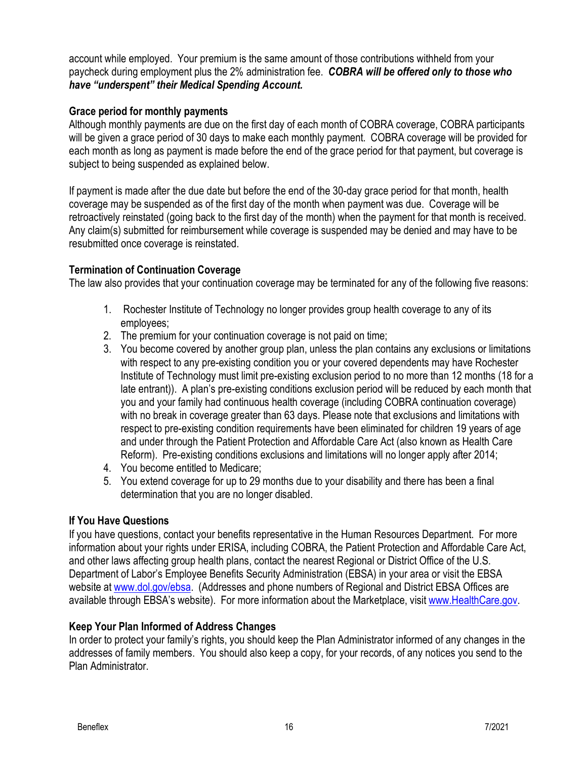account while employed. Your premium is the same amount of those contributions withheld from your paycheck during employment plus the 2% administration fee. *COBRA will be offered only to those who have "underspent" their Medical Spending Account.*

## **Grace period for monthly payments**

Although monthly payments are due on the first day of each month of COBRA coverage, COBRA participants will be given a grace period of 30 days to make each monthly payment. COBRA coverage will be provided for each month as long as payment is made before the end of the grace period for that payment, but coverage is subject to being suspended as explained below.

If payment is made after the due date but before the end of the 30-day grace period for that month, health coverage may be suspended as of the first day of the month when payment was due. Coverage will be retroactively reinstated (going back to the first day of the month) when the payment for that month is received. Any claim(s) submitted for reimbursement while coverage is suspended may be denied and may have to be resubmitted once coverage is reinstated.

## **Termination of Continuation Coverage**

The law also provides that your continuation coverage may be terminated for any of the following five reasons:

- 1. Rochester Institute of Technology no longer provides group health coverage to any of its employees;
- 2. The premium for your continuation coverage is not paid on time;
- 3. You become covered by another group plan, unless the plan contains any exclusions or limitations with respect to any pre-existing condition you or your covered dependents may have Rochester Institute of Technology must limit pre-existing exclusion period to no more than 12 months (18 for a late entrant)). A plan's pre-existing conditions exclusion period will be reduced by each month that you and your family had continuous health coverage (including COBRA continuation coverage) with no break in coverage greater than 63 days. Please note that exclusions and limitations with respect to pre-existing condition requirements have been eliminated for children 19 years of age and under through the Patient Protection and Affordable Care Act (also known as Health Care Reform). Pre-existing conditions exclusions and limitations will no longer apply after 2014;
- 4. You become entitled to Medicare;
- 5. You extend coverage for up to 29 months due to your disability and there has been a final determination that you are no longer disabled.

## **If You Have Questions**

If you have questions, contact your benefits representative in the Human Resources Department. For more information about your rights under ERISA, including COBRA, the Patient Protection and Affordable Care Act, and other laws affecting group health plans, contact the nearest Regional or District Office of the U.S. Department of Labor's Employee Benefits Security Administration (EBSA) in your area or visit the EBSA website at [www.dol.gov/ebsa.](http://www.dol.gov/ebsa) (Addresses and phone numbers of Regional and District EBSA Offices are available through EBSA's website). For more information about the Marketplace, visit [www.HealthCare.gov.](http://www.healthcare.gov/)

#### **Keep Your Plan Informed of Address Changes**

In order to protect your family's rights, you should keep the Plan Administrator informed of any changes in the addresses of family members.You should also keep a copy, for your records, of any notices you send to the Plan Administrator.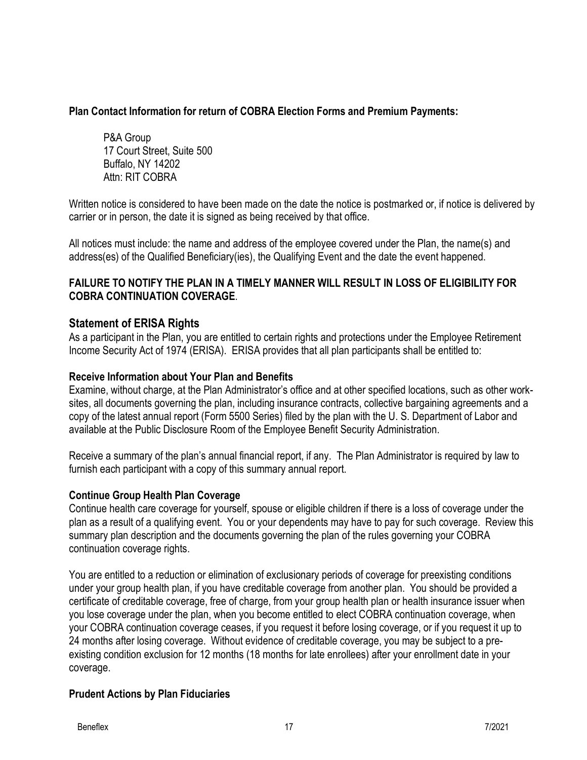## **Plan Contact Information for return of COBRA Election Forms and Premium Payments:**

P&A Group 17 Court Street, Suite 500 Buffalo, NY 14202 Attn: RIT COBRA

Written notice is considered to have been made on the date the notice is postmarked or, if notice is delivered by carrier or in person, the date it is signed as being received by that office.

All notices must include: the name and address of the employee covered under the Plan, the name(s) and address(es) of the Qualified Beneficiary(ies), the Qualifying Event and the date the event happened.

## **FAILURE TO NOTIFY THE PLAN IN A TIMELY MANNER WILL RESULT IN LOSS OF ELIGIBILITY FOR COBRA CONTINUATION COVERAGE**.

## <span id="page-16-0"></span>**Statement of ERISA Rights**

As a participant in the Plan, you are entitled to certain rights and protections under the Employee Retirement Income Security Act of 1974 (ERISA). ERISA provides that all plan participants shall be entitled to:

## **Receive Information about Your Plan and Benefits**

Examine, without charge, at the Plan Administrator's office and at other specified locations, such as other worksites, all documents governing the plan, including insurance contracts, collective bargaining agreements and a copy of the latest annual report (Form 5500 Series) filed by the plan with the U. S. Department of Labor and available at the Public Disclosure Room of the Employee Benefit Security Administration.

Receive a summary of the plan's annual financial report, if any. The Plan Administrator is required by law to furnish each participant with a copy of this summary annual report.

#### **Continue Group Health Plan Coverage**

Continue health care coverage for yourself, spouse or eligible children if there is a loss of coverage under the plan as a result of a qualifying event. You or your dependents may have to pay for such coverage. Review this summary plan description and the documents governing the plan of the rules governing your COBRA continuation coverage rights.

You are entitled to a reduction or elimination of exclusionary periods of coverage for preexisting conditions under your group health plan, if you have creditable coverage from another plan. You should be provided a certificate of creditable coverage, free of charge, from your group health plan or health insurance issuer when you lose coverage under the plan, when you become entitled to elect COBRA continuation coverage, when your COBRA continuation coverage ceases, if you request it before losing coverage, or if you request it up to 24 months after losing coverage. Without evidence of creditable coverage, you may be subject to a preexisting condition exclusion for 12 months (18 months for late enrollees) after your enrollment date in your coverage.

## **Prudent Actions by Plan Fiduciaries**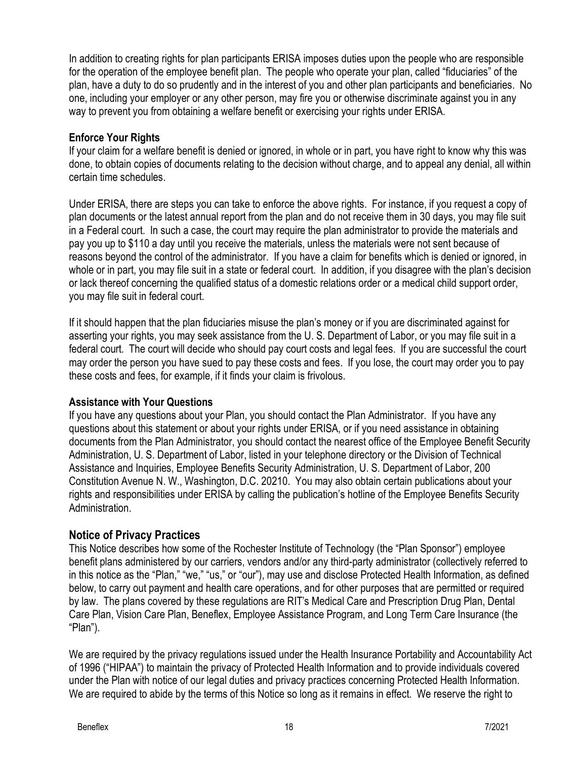In addition to creating rights for plan participants ERISA imposes duties upon the people who are responsible for the operation of the employee benefit plan. The people who operate your plan, called "fiduciaries" of the plan, have a duty to do so prudently and in the interest of you and other plan participants and beneficiaries. No one, including your employer or any other person, may fire you or otherwise discriminate against you in any way to prevent you from obtaining a welfare benefit or exercising your rights under ERISA.

## **Enforce Your Rights**

If your claim for a welfare benefit is denied or ignored, in whole or in part, you have right to know why this was done, to obtain copies of documents relating to the decision without charge, and to appeal any denial, all within certain time schedules.

Under ERISA, there are steps you can take to enforce the above rights. For instance, if you request a copy of plan documents or the latest annual report from the plan and do not receive them in 30 days, you may file suit in a Federal court. In such a case, the court may require the plan administrator to provide the materials and pay you up to \$110 a day until you receive the materials, unless the materials were not sent because of reasons beyond the control of the administrator. If you have a claim for benefits which is denied or ignored, in whole or in part, you may file suit in a state or federal court. In addition, if you disagree with the plan's decision or lack thereof concerning the qualified status of a domestic relations order or a medical child support order, you may file suit in federal court.

If it should happen that the plan fiduciaries misuse the plan's money or if you are discriminated against for asserting your rights, you may seek assistance from the U. S. Department of Labor, or you may file suit in a federal court. The court will decide who should pay court costs and legal fees. If you are successful the court may order the person you have sued to pay these costs and fees. If you lose, the court may order you to pay these costs and fees, for example, if it finds your claim is frivolous.

## **Assistance with Your Questions**

If you have any questions about your Plan, you should contact the Plan Administrator. If you have any questions about this statement or about your rights under ERISA, or if you need assistance in obtaining documents from the Plan Administrator, you should contact the nearest office of the Employee Benefit Security Administration, U. S. Department of Labor, listed in your telephone directory or the Division of Technical Assistance and Inquiries, Employee Benefits Security Administration, U. S. Department of Labor, 200 Constitution Avenue N. W., Washington, D.C. 20210. You may also obtain certain publications about your rights and responsibilities under ERISA by calling the publication's hotline of the Employee Benefits Security Administration.

## <span id="page-17-0"></span>**Notice of Privacy Practices**

This Notice describes how some of the Rochester Institute of Technology (the "Plan Sponsor") employee benefit plans administered by our carriers, vendors and/or any third-party administrator (collectively referred to in this notice as the "Plan," "we," "us," or "our"), may use and disclose Protected Health Information, as defined below, to carry out payment and health care operations, and for other purposes that are permitted or required by law. The plans covered by these regulations are RIT's Medical Care and Prescription Drug Plan, Dental Care Plan, Vision Care Plan, Beneflex, Employee Assistance Program, and Long Term Care Insurance (the "Plan").

We are required by the privacy regulations issued under the Health Insurance Portability and Accountability Act of 1996 ("HIPAA") to maintain the privacy of Protected Health Information and to provide individuals covered under the Plan with notice of our legal duties and privacy practices concerning Protected Health Information. We are required to abide by the terms of this Notice so long as it remains in effect. We reserve the right to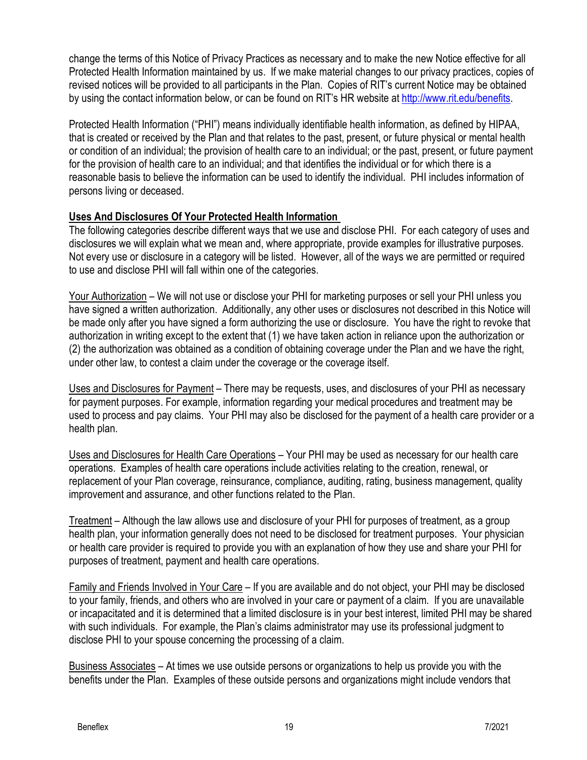change the terms of this Notice of Privacy Practices as necessary and to make the new Notice effective for all Protected Health Information maintained by us. If we make material changes to our privacy practices, copies of revised notices will be provided to all participants in the Plan. Copies of RIT's current Notice may be obtained by using the contact information below, or can be found on RIT's HR website at [http://www.rit.edu/benefits.](http://www.rit.edu/benefits)

Protected Health Information ("PHI") means individually identifiable health information, as defined by HIPAA, that is created or received by the Plan and that relates to the past, present, or future physical or mental health or condition of an individual; the provision of health care to an individual; or the past, present, or future payment for the provision of health care to an individual; and that identifies the individual or for which there is a reasonable basis to believe the information can be used to identify the individual. PHI includes information of persons living or deceased.

## **Uses And Disclosures Of Your Protected Health Information**

The following categories describe different ways that we use and disclose PHI. For each category of uses and disclosures we will explain what we mean and, where appropriate, provide examples for illustrative purposes. Not every use or disclosure in a category will be listed. However, all of the ways we are permitted or required to use and disclose PHI will fall within one of the categories.

Your Authorization – We will not use or disclose your PHI for marketing purposes or sell your PHI unless you have signed a written authorization. Additionally, any other uses or disclosures not described in this Notice will be made only after you have signed a form authorizing the use or disclosure. You have the right to revoke that authorization in writing except to the extent that (1) we have taken action in reliance upon the authorization or (2) the authorization was obtained as a condition of obtaining coverage under the Plan and we have the right, under other law, to contest a claim under the coverage or the coverage itself.

Uses and Disclosures for Payment – There may be requests, uses, and disclosures of your PHI as necessary for payment purposes. For example, information regarding your medical procedures and treatment may be used to process and pay claims. Your PHI may also be disclosed for the payment of a health care provider or a health plan.

Uses and Disclosures for Health Care Operations – Your PHI may be used as necessary for our health care operations. Examples of health care operations include activities relating to the creation, renewal, or replacement of your Plan coverage, reinsurance, compliance, auditing, rating, business management, quality improvement and assurance, and other functions related to the Plan.

Treatment – Although the law allows use and disclosure of your PHI for purposes of treatment, as a group health plan, your information generally does not need to be disclosed for treatment purposes. Your physician or health care provider is required to provide you with an explanation of how they use and share your PHI for purposes of treatment, payment and health care operations.

Family and Friends Involved in Your Care – If you are available and do not object, your PHI may be disclosed to your family, friends, and others who are involved in your care or payment of a claim. If you are unavailable or incapacitated and it is determined that a limited disclosure is in your best interest, limited PHI may be shared with such individuals. For example, the Plan's claims administrator may use its professional judgment to disclose PHI to your spouse concerning the processing of a claim.

Business Associates – At times we use outside persons or organizations to help us provide you with the benefits under the Plan. Examples of these outside persons and organizations might include vendors that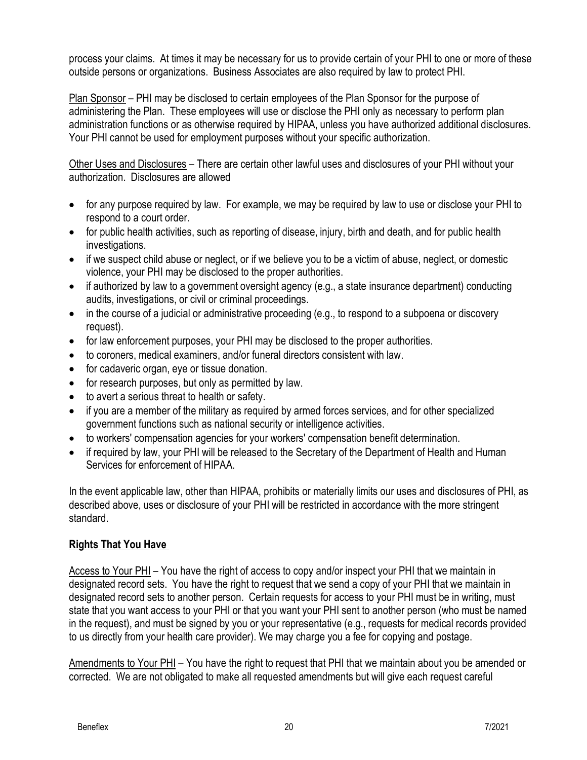process your claims. At times it may be necessary for us to provide certain of your PHI to one or more of these outside persons or organizations. Business Associates are also required by law to protect PHI.

Plan Sponsor – PHI may be disclosed to certain employees of the Plan Sponsor for the purpose of administering the Plan. These employees will use or disclose the PHI only as necessary to perform plan administration functions or as otherwise required by HIPAA, unless you have authorized additional disclosures. Your PHI cannot be used for employment purposes without your specific authorization.

Other Uses and Disclosures – There are certain other lawful uses and disclosures of your PHI without your authorization. Disclosures are allowed

- for any purpose required by law. For example, we may be required by law to use or disclose your PHI to respond to a court order.
- for public health activities, such as reporting of disease, injury, birth and death, and for public health investigations.
- if we suspect child abuse or neglect, or if we believe you to be a victim of abuse, neglect, or domestic violence, your PHI may be disclosed to the proper authorities.
- if authorized by law to a government oversight agency (e.g., a state insurance department) conducting audits, investigations, or civil or criminal proceedings.
- in the course of a judicial or administrative proceeding (e.g., to respond to a subpoena or discovery request).
- for law enforcement purposes, your PHI may be disclosed to the proper authorities.
- to coroners, medical examiners, and/or funeral directors consistent with law.
- for cadaveric organ, eye or tissue donation.
- for research purposes, but only as permitted by law.
- to avert a serious threat to health or safety.
- if you are a member of the military as required by armed forces services, and for other specialized government functions such as national security or intelligence activities.
- to workers' compensation agencies for your workers' compensation benefit determination.
- if required by law, your PHI will be released to the Secretary of the Department of Health and Human Services for enforcement of HIPAA.

In the event applicable law, other than HIPAA, prohibits or materially limits our uses and disclosures of PHI, as described above, uses or disclosure of your PHI will be restricted in accordance with the more stringent standard.

## **Rights That You Have**

Access to Your PHI – You have the right of access to copy and/or inspect your PHI that we maintain in designated record sets. You have the right to request that we send a copy of your PHI that we maintain in designated record sets to another person. Certain requests for access to your PHI must be in writing, must state that you want access to your PHI or that you want your PHI sent to another person (who must be named in the request), and must be signed by you or your representative (e.g., requests for medical records provided to us directly from your health care provider). We may charge you a fee for copying and postage.

Amendments to Your PHI – You have the right to request that PHI that we maintain about you be amended or corrected. We are not obligated to make all requested amendments but will give each request careful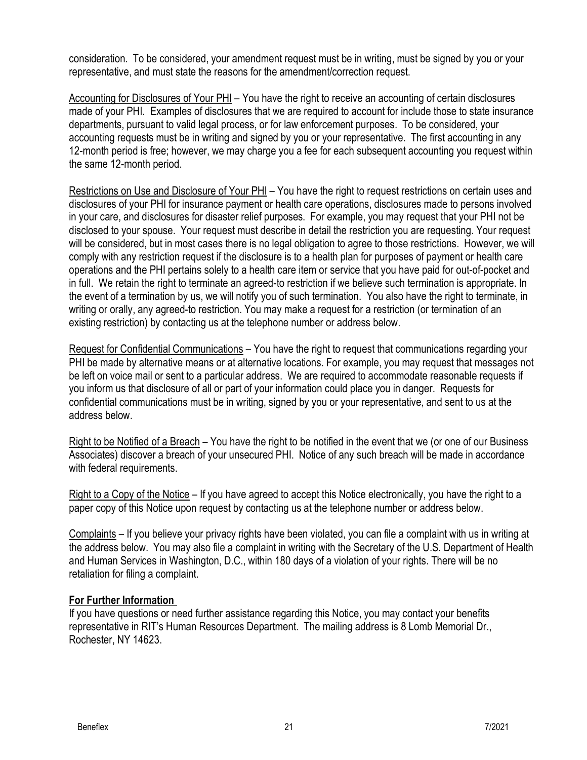consideration. To be considered, your amendment request must be in writing, must be signed by you or your representative, and must state the reasons for the amendment/correction request.

Accounting for Disclosures of Your PHI – You have the right to receive an accounting of certain disclosures made of your PHI. Examples of disclosures that we are required to account for include those to state insurance departments, pursuant to valid legal process, or for law enforcement purposes. To be considered, your accounting requests must be in writing and signed by you or your representative. The first accounting in any 12-month period is free; however, we may charge you a fee for each subsequent accounting you request within the same 12-month period.

Restrictions on Use and Disclosure of Your PHI – You have the right to request restrictions on certain uses and disclosures of your PHI for insurance payment or health care operations, disclosures made to persons involved in your care, and disclosures for disaster relief purposes. For example, you may request that your PHI not be disclosed to your spouse. Your request must describe in detail the restriction you are requesting. Your request will be considered, but in most cases there is no legal obligation to agree to those restrictions. However, we will comply with any restriction request if the disclosure is to a health plan for purposes of payment or health care operations and the PHI pertains solely to a health care item or service that you have paid for out-of-pocket and in full. We retain the right to terminate an agreed-to restriction if we believe such termination is appropriate. In the event of a termination by us, we will notify you of such termination. You also have the right to terminate, in writing or orally, any agreed-to restriction. You may make a request for a restriction (or termination of an existing restriction) by contacting us at the telephone number or address below.

Request for Confidential Communications – You have the right to request that communications regarding your PHI be made by alternative means or at alternative locations. For example, you may request that messages not be left on voice mail or sent to a particular address. We are required to accommodate reasonable requests if you inform us that disclosure of all or part of your information could place you in danger. Requests for confidential communications must be in writing, signed by you or your representative, and sent to us at the address below.

Right to be Notified of a Breach – You have the right to be notified in the event that we (or one of our Business Associates) discover a breach of your unsecured PHI. Notice of any such breach will be made in accordance with federal requirements.

Right to a Copy of the Notice – If you have agreed to accept this Notice electronically, you have the right to a paper copy of this Notice upon request by contacting us at the telephone number or address below.

Complaints – If you believe your privacy rights have been violated, you can file a complaint with us in writing at the address below. You may also file a complaint in writing with the Secretary of the U.S. Department of Health and Human Services in Washington, D.C., within 180 days of a violation of your rights. There will be no retaliation for filing a complaint.

## **For Further Information**

If you have questions or need further assistance regarding this Notice, you may contact your benefits representative in RIT's Human Resources Department. The mailing address is 8 Lomb Memorial Dr., Rochester, NY 14623.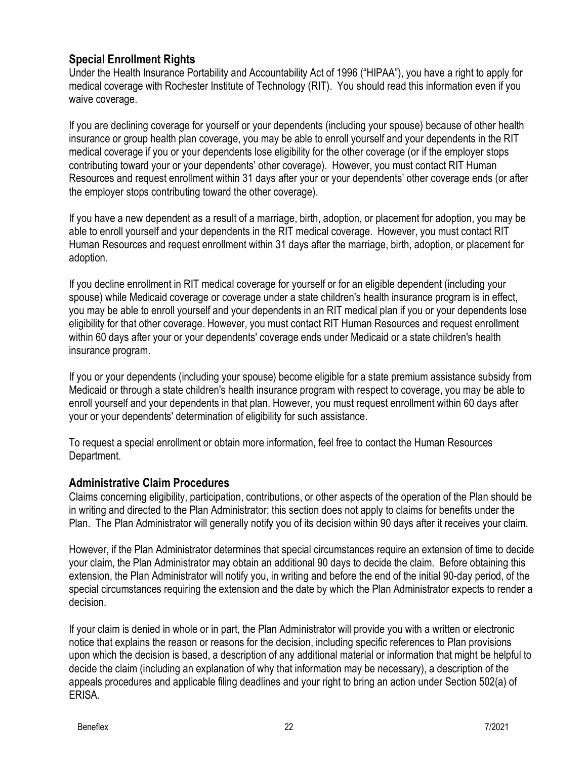## <span id="page-21-0"></span>**Special Enrollment Rights**

Under the Health Insurance Portability and Accountability Act of 1996 ("HIPAA"), you have a right to apply for medical coverage with Rochester Institute of Technology (RIT). You should read this information even if you waive coverage.

If you are declining coverage for yourself or your dependents (including your spouse) because of other health insurance or group health plan coverage, you may be able to enroll yourself and your dependents in the RIT medical coverage if you or your dependents lose eligibility for the other coverage (or if the employer stops contributing toward your or your dependents' other coverage). However, you must contact RIT Human Resources and request enrollment within 31 days after your or your dependents' other coverage ends (or after the employer stops contributing toward the other coverage).

If you have a new dependent as a result of a marriage, birth, adoption, or placement for adoption, you may be able to enroll yourself and your dependents in the RIT medical coverage. However, you must contact RIT Human Resources and request enrollment within 31 days after the marriage, birth, adoption, or placement for adoption.

If you decline enrollment in RIT medical coverage for yourself or for an eligible dependent (including your spouse) while Medicaid coverage or coverage under a state children's health insurance program is in effect, you may be able to enroll yourself and your dependents in an RIT medical plan if you or your dependents lose eligibility for that other coverage. However, you must contact RIT Human Resources and request enrollment within 60 days after your or your dependents' coverage ends under Medicaid or a state children's health insurance program.

If you or your dependents (including your spouse) become eligible for a state premium assistance subsidy from Medicaid or through a state children's health insurance program with respect to coverage, you may be able to enroll yourself and your dependents in that plan. However, you must request enrollment within 60 days after your or your dependents' determination of eligibility for such assistance.

To request a special enrollment or obtain more information, feel free to contact the Human Resources Department.

## <span id="page-21-1"></span>**Administrative Claim Procedures**

Claims concerning eligibility, participation, contributions, or other aspects of the operation of the Plan should be in writing and directed to the Plan Administrator; this section does not apply to claims for benefits under the Plan. The Plan Administrator will generally notify you of its decision within 90 days after it receives your claim.

However, if the Plan Administrator determines that special circumstances require an extension of time to decide your claim, the Plan Administrator may obtain an additional 90 days to decide the claim. Before obtaining this extension, the Plan Administrator will notify you, in writing and before the end of the initial 90-day period, of the special circumstances requiring the extension and the date by which the Plan Administrator expects to render a decision.

If your claim is denied in whole or in part, the Plan Administrator will provide you with a written or electronic notice that explains the reason or reasons for the decision, including specific references to Plan provisions upon which the decision is based, a description of any additional material or information that might be helpful to decide the claim (including an explanation of why that information may be necessary), a description of the appeals procedures and applicable filing deadlines and your right to bring an action under Section 502(a) of ERISA.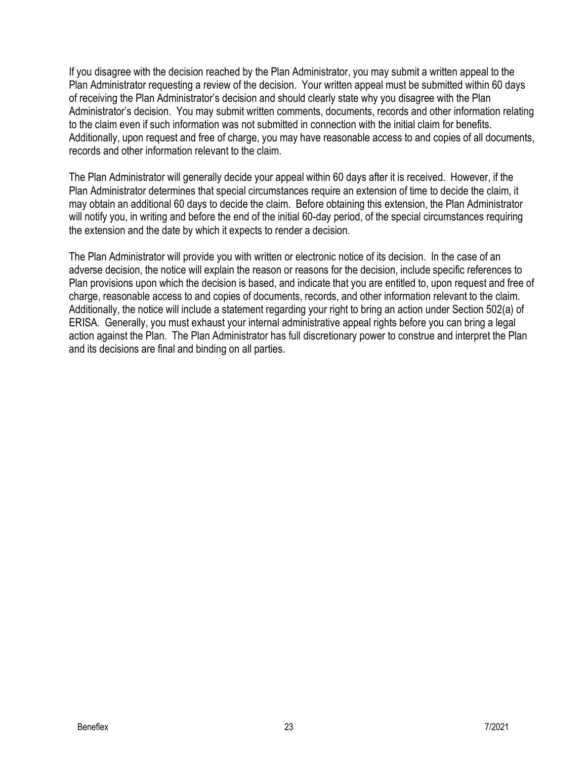If you disagree with the decision reached by the Plan Administrator, you may submit a written appeal to the Plan Administrator requesting a review of the decision. Your written appeal must be submitted within 60 days of receiving the Plan Administrator's decision and should clearly state why you disagree with the Plan Administrator's decision. You may submit written comments, documents, records and other information relating to the claim even if such information was not submitted in connection with the initial claim for benefits. Additionally, upon request and free of charge, you may have reasonable access to and copies of all documents, records and other information relevant to the claim.

The Plan Administrator will generally decide your appeal within 60 days after it is received. However, if the Plan Administrator determines that special circumstances require an extension of time to decide the claim, it may obtain an additional 60 days to decide the claim. Before obtaining this extension, the Plan Administrator will notify you, in writing and before the end of the initial 60-day period, of the special circumstances requiring the extension and the date by which it expects to render a decision.

The Plan Administrator will provide you with written or electronic notice of its decision. In the case of an adverse decision, the notice will explain the reason or reasons for the decision, include specific references to Plan provisions upon which the decision is based, and indicate that you are entitled to, upon request and free of charge, reasonable access to and copies of documents, records, and other information relevant to the claim. Additionally, the notice will include a statement regarding your right to bring an action under Section 502(a) of ERISA. Generally, you must exhaust your internal administrative appeal rights before you can bring a legal action against the Plan. The Plan Administrator has full discretionary power to construe and interpret the Plan and its decisions are final and binding on all parties.